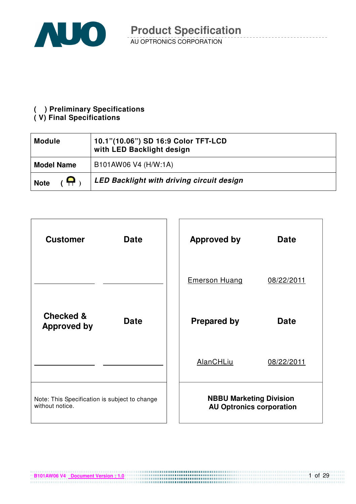

#### **( ) Preliminary Specifications**

#### **( V) Final Specifications**

| <b>Module</b>                 | 10.1"(10.06") SD 16:9 Color TFT-LCD<br>with LED Backlight design |
|-------------------------------|------------------------------------------------------------------|
| <b>Model Name</b>             | B101AW06 V4 (H/W:1A)                                             |
| $\overline{a}$<br><b>Note</b> | <b>LED Backlight with driving circuit design</b>                 |



**B101AW06 V4** Document Version : 1.0

1 of 29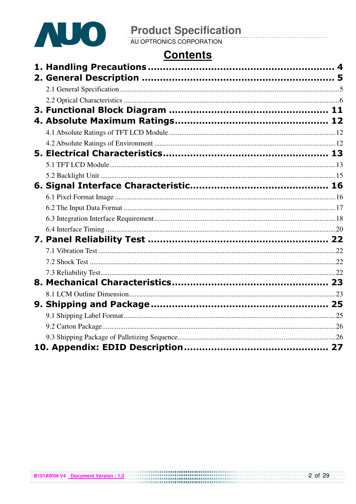

# **Contents**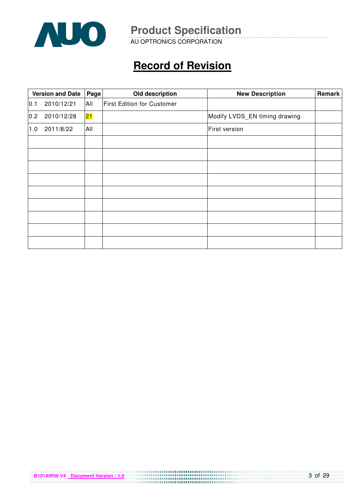

AU OPTRONICS CORPORATION

# **Record of Revision**

|     | Old description<br><b>Version and Date</b><br>Page |     |                                   | <b>New Description</b>        | Remark |
|-----|----------------------------------------------------|-----|-----------------------------------|-------------------------------|--------|
| 0.1 | 2010/12/21                                         | All | <b>First Edition for Customer</b> |                               |        |
| 0.2 | 2010/12/28                                         | 21  |                                   | Modify LVDS_EN timing drawing |        |
| 1.0 | 2011/8/22                                          | All |                                   | First version                 |        |
|     |                                                    |     |                                   |                               |        |
|     |                                                    |     |                                   |                               |        |
|     |                                                    |     |                                   |                               |        |
|     |                                                    |     |                                   |                               |        |
|     |                                                    |     |                                   |                               |        |
|     |                                                    |     |                                   |                               |        |
|     |                                                    |     |                                   |                               |        |
|     |                                                    |     |                                   |                               |        |
|     |                                                    |     |                                   |                               |        |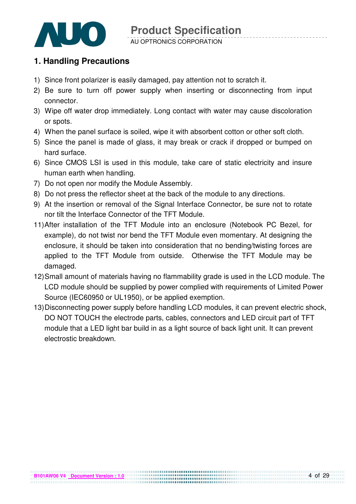

#### AU OPTRONICS CORPORATION

### **1. Handling Precautions**

- 1) Since front polarizer is easily damaged, pay attention not to scratch it.
- 2) Be sure to turn off power supply when inserting or disconnecting from input connector.
- 3) Wipe off water drop immediately. Long contact with water may cause discoloration or spots.
- 4) When the panel surface is soiled, wipe it with absorbent cotton or other soft cloth.
- 5) Since the panel is made of glass, it may break or crack if dropped or bumped on hard surface.
- 6) Since CMOS LSI is used in this module, take care of static electricity and insure human earth when handling.
- 7) Do not open nor modify the Module Assembly.
- 8) Do not press the reflector sheet at the back of the module to any directions.
- 9) At the insertion or removal of the Signal Interface Connector, be sure not to rotate nor tilt the Interface Connector of the TFT Module.
- 11) After installation of the TFT Module into an enclosure (Notebook PC Bezel, for example), do not twist nor bend the TFT Module even momentary. At designing the enclosure, it should be taken into consideration that no bending/twisting forces are applied to the TFT Module from outside. Otherwise the TFT Module may be damaged.
- 12) Small amount of materials having no flammability grade is used in the LCD module. The LCD module should be supplied by power complied with requirements of Limited Power Source (IEC60950 or UL1950), or be applied exemption.
- 13) Disconnecting power supply before handling LCD modules, it can prevent electric shock, DO NOT TOUCH the electrode parts, cables, connectors and LED circuit part of TFT module that a LED light bar build in as a light source of back light unit. It can prevent electrostic breakdown.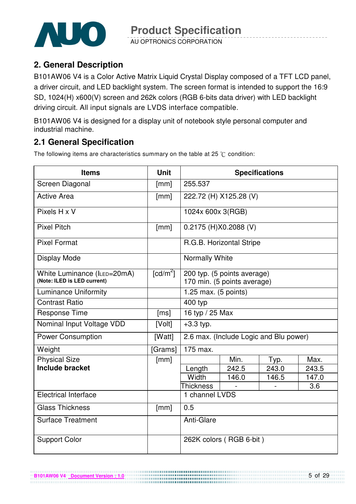

AU OPTRONICS CORPORATION

### **2. General Description**

B101AW06 V4 is a Color Active Matrix Liquid Crystal Display composed of a TFT LCD panel, a driver circuit, and LED backlight system. The screen format is intended to support the 16:9 SD, 1024(H) x600(V) screen and 262k colors (RGB 6-bits data driver) with LED backlight driving circuit. All input signals are LVDS interface compatible.

B101AW06 V4 is designed for a display unit of notebook style personal computer and industrial machine.

### **2.1 General Specification**

The following items are characteristics summary on the table at 25  $\degree$ C condition:

| <b>Items</b>                                               | <b>Unit</b>            | <b>Specifications</b>                                      |                                        |       |       |  |
|------------------------------------------------------------|------------------------|------------------------------------------------------------|----------------------------------------|-------|-------|--|
| Screen Diagonal                                            | [mm]                   | 255.537                                                    |                                        |       |       |  |
| <b>Active Area</b>                                         | [mm]                   |                                                            | 222.72 (H) X125.28 (V)                 |       |       |  |
| Pixels H x V                                               |                        | 1024x 600x 3(RGB)                                          |                                        |       |       |  |
| <b>Pixel Pitch</b>                                         | [mm]                   | 0.2175 (H)X0.2088 (V)                                      |                                        |       |       |  |
| <b>Pixel Format</b>                                        |                        | R.G.B. Horizontal Stripe                                   |                                        |       |       |  |
| Display Mode                                               |                        | Normally White                                             |                                        |       |       |  |
| White Luminance (ILED=20mA)<br>(Note: ILED is LED current) | $\lceil cd/m^2 \rceil$ | 200 typ. (5 points average)<br>170 min. (5 points average) |                                        |       |       |  |
| <b>Luminance Uniformity</b>                                |                        | 1.25 max. (5 points)                                       |                                        |       |       |  |
| <b>Contrast Ratio</b>                                      |                        | 400 typ                                                    |                                        |       |       |  |
| <b>Response Time</b>                                       | [ms]                   | 16 typ / 25 Max                                            |                                        |       |       |  |
| Nominal Input Voltage VDD                                  | [Volt]                 | $+3.3$ typ.                                                |                                        |       |       |  |
| <b>Power Consumption</b>                                   | [Watt]                 |                                                            | 2.6 max. (Include Logic and Blu power) |       |       |  |
| Weight                                                     | [Grams]                | 175 max.                                                   |                                        |       |       |  |
| <b>Physical Size</b>                                       | [mm]                   |                                                            | Min.                                   | Typ.  | Max.  |  |
| <b>Include bracket</b>                                     |                        | Length                                                     | 242.5                                  | 243.0 | 243.5 |  |
|                                                            |                        | Width                                                      | 146.0                                  | 146.5 | 147.0 |  |
|                                                            |                        | <b>Thickness</b>                                           |                                        |       | 3.6   |  |
| <b>Electrical Interface</b>                                |                        | 1 channel LVDS                                             |                                        |       |       |  |
| <b>Glass Thickness</b>                                     | [mm]                   | 0.5                                                        |                                        |       |       |  |
| <b>Surface Treatment</b>                                   |                        | Anti-Glare                                                 |                                        |       |       |  |
| <b>Support Color</b>                                       |                        |                                                            | 262K colors (RGB 6-bit)                |       |       |  |

................................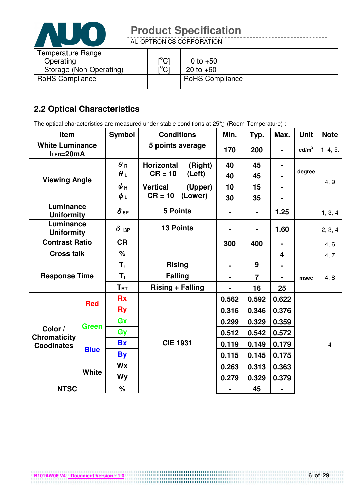

AU OPTRONICS CORPORATION

| Temperature Range       |                               |                        |
|-------------------------|-------------------------------|------------------------|
| Operating               | $\mathsf{I}^\circ\mathsf{Cl}$ | 0 to $+50$             |
| Storage (Non-Operating) | $\mathsf{I}^\circ\mathsf{Cl}$ | $-20$ to $+60$         |
| <b>RoHS Compliance</b>  |                               | <b>RoHS Compliance</b> |

### **2.2 Optical Characteristics**

The optical characteristics are measured under stable conditions at 25°C (Room Temperature) :

| Item                                                |              | <b>Symbol</b> | <b>Conditions</b>            |         | Min.           | Typ.           | Max.           | <b>Unit</b>     | <b>Note</b>             |
|-----------------------------------------------------|--------------|---------------|------------------------------|---------|----------------|----------------|----------------|-----------------|-------------------------|
| <b>White Luminance</b><br>ILED=20mA                 |              |               | 5 points average             |         | 170            | 200            | $\blacksquare$ | $\text{cd/m}^2$ | 1, 4, 5.                |
|                                                     |              | $\theta$ R    | <b>Horizontal</b><br>(Right) |         | 40             | 45             |                |                 |                         |
| <b>Viewing Angle</b>                                |              | $\theta$ L    | $CR = 10$                    | (Left)  | 40             | 45             |                | degree          |                         |
|                                                     |              | ψн            | <b>Vertical</b>              | (Upper) | 10             | 15             |                |                 | 4, 9                    |
|                                                     |              | $\phi_L$      | $CR = 10$                    | (Lower) | 30             | 35             |                |                 |                         |
| Luminance<br><b>Uniformity</b>                      |              | $\delta$ 5P   | <b>5 Points</b>              |         |                | $\blacksquare$ | 1.25           |                 | 1, 3, 4                 |
| Luminance<br><b>Uniformity</b>                      |              | $\delta$ 13P  | <b>13 Points</b>             |         |                | $\blacksquare$ | 1.60           |                 | 2, 3, 4                 |
| <b>Contrast Ratio</b>                               |              | <b>CR</b>     |                              |         | 300            | 400            |                |                 | 4, 6                    |
| <b>Cross talk</b>                                   |              | %             |                              |         |                |                | 4              |                 | 4, 7                    |
|                                                     |              | $T_{r}$       | <b>Rising</b>                |         | ۰              | 9              | $\blacksquare$ |                 |                         |
| <b>Response Time</b>                                |              | $T_f$         | <b>Falling</b>               |         | $\blacksquare$ | $\overline{7}$ |                | msec            | 4, 8                    |
|                                                     |              | $T_{\rm RT}$  | <b>Rising + Falling</b>      |         |                | 16             | 25             |                 |                         |
| <b>Red</b>                                          |              | <b>Rx</b>     |                              |         | 0.562          | 0.592          | 0.622          |                 |                         |
|                                                     |              | <b>Ry</b>     |                              | 0.316   | 0.346          | 0.376          |                |                 |                         |
|                                                     | <b>Green</b> | Gx            |                              |         |                | 0.329          | 0.359          |                 |                         |
| Color /<br><b>Chromaticity</b><br><b>Coodinates</b> |              | Gy            |                              |         | 0.512          | 0.542          | 0.572          |                 |                         |
|                                                     |              | <b>Bx</b>     | <b>CIE 1931</b>              |         | 0.119          | 0.149          | 0.179          |                 | $\overline{\mathbf{4}}$ |
|                                                     | <b>Blue</b>  | <b>By</b>     |                              |         | 0.115          | 0.145          | 0.175          |                 |                         |
|                                                     |              | Wx            |                              |         | 0.263          | 0.313          | 0.363          |                 |                         |
|                                                     | <b>White</b> | <b>Wy</b>     |                              |         | 0.279          | 0.329          | 0.379          |                 |                         |
| <b>NTSC</b>                                         |              | $\%$          |                              |         |                | 45             |                |                 |                         |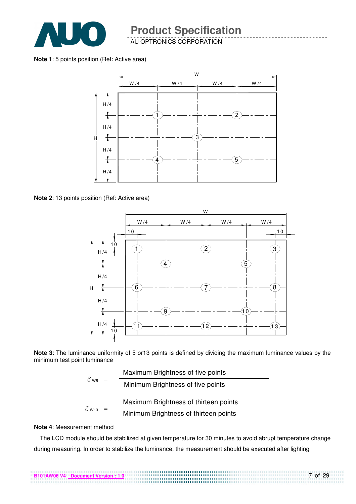

AU OPTRONICS CORPORATION

**Note 1**: 5 points position (Ref: Active area)



**Note 2**: 13 points position (Ref: Active area)



**Note 3**: The luminance uniformity of 5 or13 points is defined by dividing the maximum luminance values by the minimum test point luminance

|              | Maximum Brightness of five points     |
|--------------|---------------------------------------|
| $\delta$ ws  | Minimum Brightness of five points     |
|              | Maximum Brightness of thirteen points |
| $\delta$ W13 | Minimum Brightness of thirteen points |

#### **Note 4**: Measurement method

The LCD module should be stabilized at given temperature for 30 minutes to avoid abrupt temperature change during measuring. In order to stabilize the luminance, the measurement should be executed after lighting

7 of 29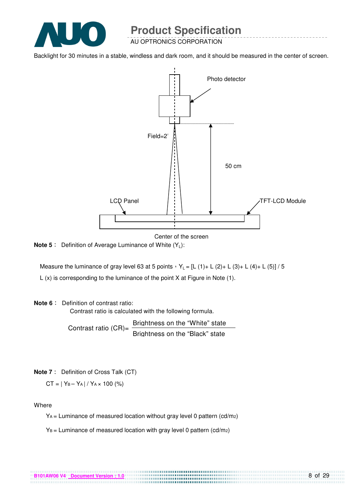

AU OPTRONICS CORPORATION

Backlight for 30 minutes in a stable, windless and dark room, and it should be measured in the center of screen.



Center of the screen

**Note 5** : Definition of Average Luminance of White (Y<sub>L</sub>):

Measure the luminance of gray level 63 at 5 points  $Y_L = [L (1) + L (2) + L (3) + L (4) + L (5)] / 5$ L (x) is corresponding to the luminance of the point X at Figure in Note (1).

#### **Note 6** : Definition of contrast ratio:

Contrast ratio is calculated with the following formula.

Contrast ratio  $(CR)$ = Brightness on the "White" state Brightness on the "Black" state

**Note 7** : Definition of Cross Talk (CT)

 $CT = |Y_B - Y_A| / Y_A \times 100$  (%)

Where

 $Y_A$  = Luminance of measured location without gray level 0 pattern (cd/m<sub>2</sub>)

................................

 $Y_B =$  Luminance of measured location with gray level 0 pattern (cd/m2)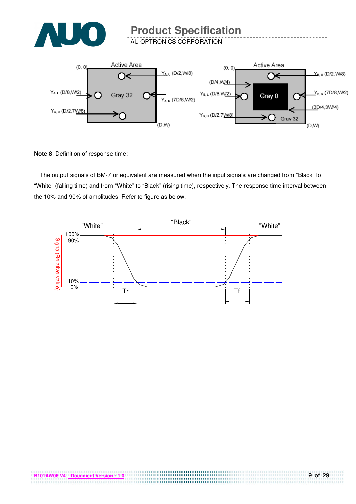

AU OPTRONICS CORPORATION



**Note 8**: Definition of response time:

The output signals of BM-7 or equivalent are measured when the input signals are changed from "Black" to "White" (falling time) and from "White" to "Black" (rising time), respectively. The response time interval between the 10% and 90% of amplitudes. Refer to figure as below.

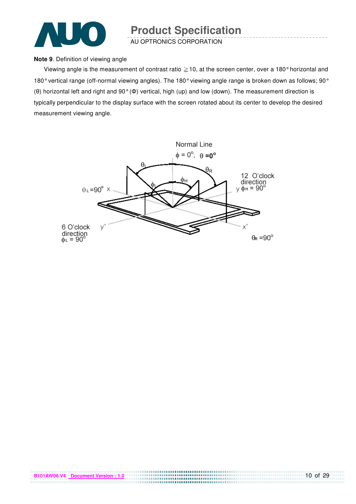

AU OPTRONICS CORPORATION

#### **Note 9**. Definition of viewing angle

Viewing angle is the measurement of contrast ratio  $\geq$  10, at the screen center, over a 180° horizontal and 180° vertical range (off-normal viewing angles). The 180° viewing angle range is broken down as follows; 90° (θ) horizontal left and right and 90° (Φ) vertical, high (up) and low (down). The measurement direction is typically perpendicular to the display surface with the screen rotated about its center to develop the desired measurement viewing angle.

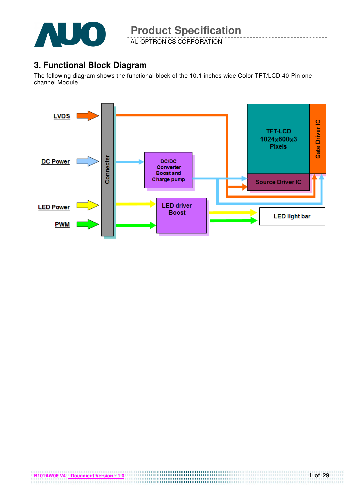

AU OPTRONICS CORPORATION

### **3. Functional Block Diagram**

The following diagram shows the functional block of the 10.1 inches wide Color TFT/LCD 40 Pin one channel Module

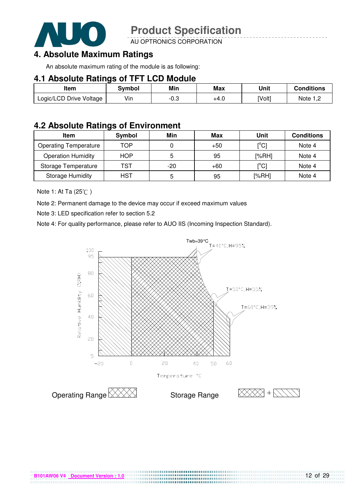

AU OPTRONICS CORPORATION

### **4. Absolute Maximum Ratings**

An absolute maximum rating of the module is as following:

#### **4.1 Absolute Ratings of TFT LCD Module**

| Item                    | Svmbol | Min  | <b>Max</b> | Unit   | Conditions   |
|-------------------------|--------|------|------------|--------|--------------|
| Logic/LCD Drive Voltage | Vin    | -0.3 | +4.U       | [Volt] | Note<br>ے, ا |

#### **4.2 Absolute Ratings of Environment**

| <b>Item</b>                  | Symbol     | Min   | Max   | Unit                                    | <b>Conditions</b> |
|------------------------------|------------|-------|-------|-----------------------------------------|-------------------|
| <b>Operating Temperature</b> | TOP        |       | $+50$ | $\mathsf{I}^\circ\mathsf{C} \mathsf{I}$ | Note 4            |
| <b>Operation Humidity</b>    | <b>HOP</b> | 5     | 95    | [%RH]                                   | Note 4            |
| Storage Temperature          | TST        | $-20$ | $+60$ | $\mathsf{I}^{\circ}$ Cl                 | Note 4            |
| <b>Storage Humidity</b>      | HST        | 5     | 95    | [%RH]                                   | Note 4            |

Note 1: At Ta (25°C)

Note 2: Permanent damage to the device may occur if exceed maximum values

Note 3: LED specification refer to section 5.2

Note 4: For quality performance, please refer to AUO IIS (Incoming Inspection Standard).



....................................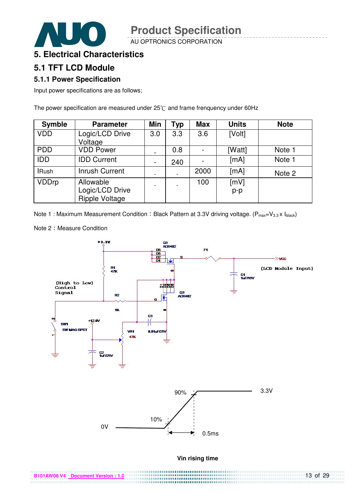AU OPTRONICS CORPORATION



#### **5. Electrical Characteristics**

#### **5.1 TFT LCD Module**

#### **5.1.1 Power Specification**

Input power specifications are as follows;

The power specification are measured under  $25^{\circ}$ C and frame frenquency under 60Hz

| <b>Symble</b> | <b>Parameter</b>                                      | Min                          | <b>Typ</b> | <b>Max</b> | <b>Units</b>  | <b>Note</b> |
|---------------|-------------------------------------------------------|------------------------------|------------|------------|---------------|-------------|
| <b>VDD</b>    | Logic/LCD Drive<br>Voltage                            | 3.0                          | 3.3        | 3.6        | [Volt]        |             |
| <b>PDD</b>    | <b>VDD Power</b>                                      |                              | 0.8        |            | [Watt]        | Note 1      |
| <b>IDD</b>    | <b>IDD Current</b>                                    | $\qquad \qquad \blacksquare$ | 240        |            | [mA]          | Note 1      |
| <b>IRush</b>  | <b>Inrush Current</b>                                 |                              |            | 2000       | [mA]          | Note 2      |
| <b>VDDrp</b>  | Allowable<br>Logic/LCD Drive<br><b>Ripple Voltage</b> |                              |            | 100        | [mV]<br>$p-p$ |             |

Note 1 : Maximum Measurement Condition : Black Pattern at 3.3V driving voltage. ( $P_{max}=V_{3.3} \times I_{black}$ )



Note 2: Measure Condition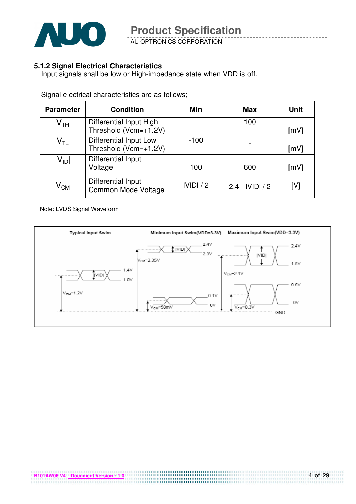

AU OPTRONICS CORPORATION

#### **5.1.2 Signal Electrical Characteristics**

Input signals shall be low or High-impedance state when VDD is off.

| <b>Parameter</b>           | <b>Condition</b>                                       | Min     | <b>Max</b>        | Unit |
|----------------------------|--------------------------------------------------------|---------|-------------------|------|
| $\mathsf{V}_{\mathsf{TH}}$ | Differential Input High<br>Threshold (Vcm=+1.2V)       |         | 100               | [mV] |
| $\mathsf{V}_{\mathsf{TL}}$ | <b>Differential Input Low</b><br>Threshold (Vcm=+1.2V) | $-100$  |                   | [mV] |
| $ V_{ID} $                 | Differential Input<br>Voltage                          | 100     | 600               | [mV] |
| $\mathsf{V}_{\mathsf{CM}}$ | <b>Differential Input</b><br>Common Mode Voltage       | IVIDI/2 | $2.4 - IVIDI / 2$ | [V]  |

Signal electrical characteristics are as follows;

Note: LVDS Signal Waveform

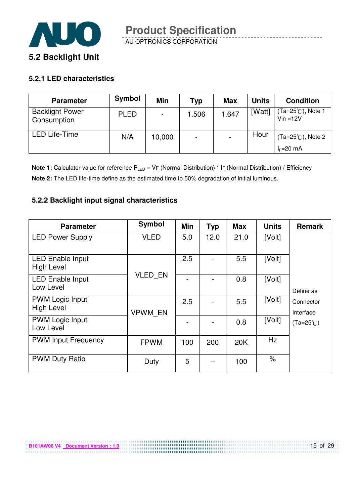

#### **5.2.1 LED characteristics**

**B101AW06 V4 Document Version : 1.0**

| Symbol      | Min    | Typ                      | <b>Max</b> | <b>Units</b> | <b>Condition</b>                           |
|-------------|--------|--------------------------|------------|--------------|--------------------------------------------|
| <b>PLED</b> |        | 1.506                    | 1.647      | [Watt]       | (Ta=25℃), Note 1<br>$Vin = 12V$            |
| N/A         | 10,000 | $\overline{\phantom{0}}$ |            | Hour         | $(Ta=25^{\circ}C)$ , Note 2<br>$I_F=20$ mA |
|             |        |                          |            |              |                                            |

**Note 1:** Calculator value for reference P<sub>LED</sub> = VF (Normal Distribution) \* IF (Normal Distribution) / Efficiency **Note 2:** The LED life-time define as the estimated time to 50% degradation of initial luminous.

#### **5.2.2 Backlight input signal characteristics**

| <b>Parameter</b>                             | Symbol         | Min | <b>Typ</b> | <b>Max</b> | <b>Units</b> | <b>Remark</b>          |
|----------------------------------------------|----------------|-----|------------|------------|--------------|------------------------|
| <b>LED Power Supply</b>                      | <b>VLED</b>    | 5.0 | 12.0       | 21.0       | [Volt]       |                        |
| <b>LED Enable Input</b><br><b>High Level</b> |                | 2.5 |            | 5.5        | [Volt]       |                        |
| <b>LED Enable Input</b><br>Low Level         | <b>VLED EN</b> |     |            | 0.8        | [Volt]       | Define as              |
| <b>PWM Logic Input</b><br><b>High Level</b>  | <b>VPWM EN</b> | 2.5 |            | 5.5        | [Volt]       | Connector<br>Interface |
| <b>PWM Logic Input</b><br>Low Level          |                |     |            | 0.8        | [Volt]       | $(Ta=25^{\circ}C)$     |
| <b>PWM Input Frequency</b>                   | <b>FPWM</b>    | 100 | 200        | 20K        | Hz           |                        |
| <b>PWM Duty Ratio</b>                        | Duty           | 5   |            | 100        | $\%$         |                        |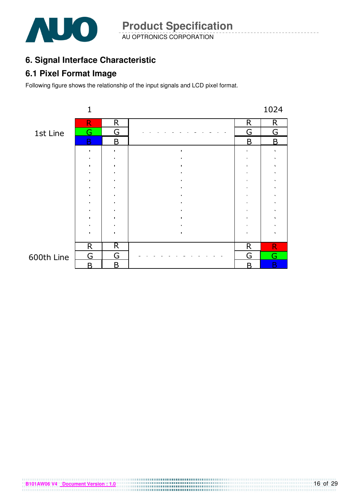

AU OPTRONICS CORPORATION **Product Specification** 

### **6. Signal Interface Characteristic**

#### **6.1 Pixel Format Image**

**B101AW06 V4 Document Version : 1.0**

Following figure shows the relationship of the input signals and LCD pixel format.

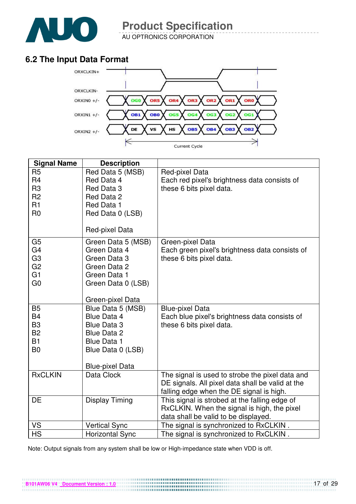

AU OPTRONICS CORPORATION

## **6.2 The Input Data Format**



| <b>Signal Name</b>                                                                                       | <b>Description</b>                                                                                                                                       |                                                                                                                                                 |
|----------------------------------------------------------------------------------------------------------|----------------------------------------------------------------------------------------------------------------------------------------------------------|-------------------------------------------------------------------------------------------------------------------------------------------------|
| R <sub>5</sub><br>R <sub>4</sub><br>R <sub>3</sub><br>R <sub>2</sub><br>R <sub>1</sub><br>R <sub>0</sub> | Red Data 5 (MSB)<br>Red Data 4<br>Red Data 3<br>Red Data 2<br>Red Data 1<br>Red Data 0 (LSB)<br>Red-pixel Data                                           | Red-pixel Data<br>Each red pixel's brightness data consists of<br>these 6 bits pixel data.                                                      |
|                                                                                                          |                                                                                                                                                          |                                                                                                                                                 |
| G <sub>5</sub><br>G4<br>G <sub>3</sub><br>G <sub>2</sub><br>G <sub>1</sub><br>G <sub>0</sub>             | Green Data 5 (MSB)<br>Green Data 4<br>Green Data 3<br>Green Data 2<br>Green Data 1<br>Green Data 0 (LSB)                                                 | Green-pixel Data<br>Each green pixel's brightness data consists of<br>these 6 bits pixel data.                                                  |
|                                                                                                          | Green-pixel Data                                                                                                                                         |                                                                                                                                                 |
| <b>B5</b><br>B4<br>B <sub>3</sub><br><b>B2</b><br><b>B1</b><br>B <sub>0</sub>                            | Blue Data 5 (MSB)<br><b>Blue Data 4</b><br><b>Blue Data 3</b><br><b>Blue Data 2</b><br><b>Blue Data 1</b><br>Blue Data 0 (LSB)<br><b>Blue-pixel Data</b> | <b>Blue-pixel Data</b><br>Each blue pixel's brightness data consists of<br>these 6 bits pixel data.                                             |
| <b>RxCLKIN</b>                                                                                           | Data Clock                                                                                                                                               | The signal is used to strobe the pixel data and<br>DE signals. All pixel data shall be valid at the<br>falling edge when the DE signal is high. |
| DE                                                                                                       | Display Timing                                                                                                                                           | This signal is strobed at the falling edge of<br>RxCLKIN. When the signal is high, the pixel<br>data shall be valid to be displayed.            |
| <b>VS</b>                                                                                                | <b>Vertical Sync</b>                                                                                                                                     | The signal is synchronized to RxCLKIN.                                                                                                          |
| <b>HS</b>                                                                                                | <b>Horizontal Sync</b>                                                                                                                                   | The signal is synchronized to RxCLKIN.                                                                                                          |

Note: Output signals from any system shall be low or High-impedance state when VDD is off.

**B101AW06 V4 Document Version : 1.0**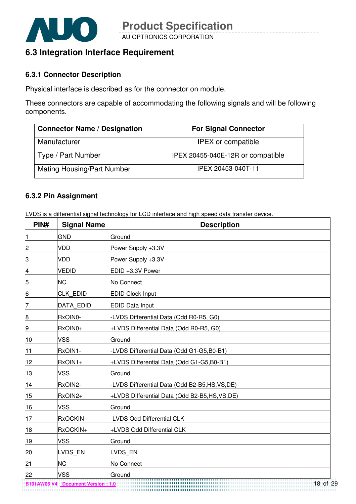

### **6.3 Integration Interface Requirement**

#### **6.3.1 Connector Description**

Physical interface is described as for the connector on module.

These connectors are capable of accommodating the following signals and will be following components.

| <b>Connector Name / Designation</b> | <b>For Signal Connector</b>       |
|-------------------------------------|-----------------------------------|
| Manufacturer                        | <b>IPEX</b> or compatible         |
| Type / Part Number                  | IPEX 20455-040E-12R or compatible |
| <b>Mating Housing/Part Number</b>   | IPEX 20453-040T-11                |

#### **6.3.2 Pin Assignment**

LVDS is a differential signal technology for LCD interface and high speed data transfer device.

| PIN#            | <b>Signal Name</b> | <b>Description</b>                             |
|-----------------|--------------------|------------------------------------------------|
| $\vert$ 1       | <b>GND</b>         | Ground                                         |
| $\overline{c}$  | <b>VDD</b>         | Power Supply +3.3V                             |
| $\overline{3}$  | <b>VDD</b>         | Power Supply +3.3V                             |
| $\overline{a}$  | <b>VEDID</b>       | EDID +3.3V Power                               |
| 5               | <b>NC</b>          | No Connect                                     |
| $6 \overline{}$ | CLK EDID           | <b>EDID Clock Input</b>                        |
| 7               | <b>DATA EDID</b>   | <b>EDID Data Input</b>                         |
| 8               | RxOIN0-            | -LVDS Differential Data (Odd R0-R5, G0)        |
| $\overline{9}$  | RxOIN0+            | +LVDS Differential Data (Odd R0-R5, G0)        |
| 10              | <b>VSS</b>         | Ground                                         |
| 11              | RxOIN1-            | LVDS Differential Data (Odd G1-G5,B0-B1)       |
| 12              | RxOIN1+            | +LVDS Differential Data (Odd G1-G5,B0-B1)      |
| 13              | <b>VSS</b>         | Ground                                         |
| 14              | RxOIN2-            | LVDS Differential Data (Odd B2-B5,HS,VS,DE)    |
| 15              | RxOIN2+            | +LVDS Differential Data (Odd B2-B5,HS, VS, DE) |
| 16              | <b>VSS</b>         | Ground                                         |
| 17              | RxOCKIN-           | -LVDS Odd Differential CLK                     |
| 18              | RxOCKIN+           | +LVDS Odd Differential CLK                     |
| 19              | <b>VSS</b>         | Ground                                         |
| 20              | LVDS EN            | LVDS EN                                        |
| 21              | <b>NC</b>          | No Connect                                     |
| 22              | <b>VSS</b>         | Ground                                         |

**B101AW06 V4 Document Version : 1.0**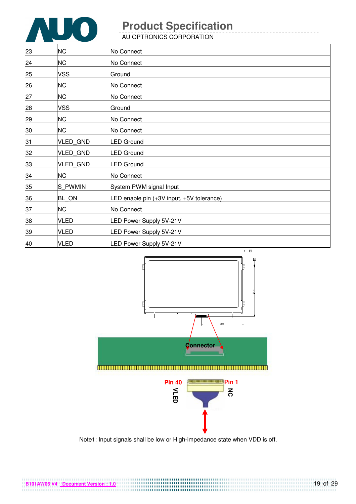

**B101AW06 V4 Document Version : 1.0**

# **Product Specification**

AU OPTRONICS CORPORATION

| 23 | <b>NC</b>       | No Connect                                |
|----|-----------------|-------------------------------------------|
| 24 | <b>NC</b>       | No Connect                                |
| 25 | <b>VSS</b>      | Ground                                    |
| 26 | <b>NC</b>       | No Connect                                |
| 27 | <b>NC</b>       | No Connect                                |
| 28 | <b>VSS</b>      | Ground                                    |
| 29 | <b>NC</b>       | No Connect                                |
| 30 | <b>NC</b>       | No Connect                                |
| 31 | VLED_GND        | <b>LED Ground</b>                         |
| 32 | VLED_GND        | <b>LED Ground</b>                         |
| 33 | <b>VLED GND</b> | <b>LED Ground</b>                         |
| 34 | <b>NC</b>       | No Connect                                |
| 35 | S PWMIN         | System PWM signal Input                   |
| 36 | BL_ON           | LED enable pin (+3V input, +5V tolerance) |
| 37 | <b>NC</b>       | No Connect                                |
| 38 | <b>VLED</b>     | LED Power Supply 5V-21V                   |
| 39 | <b>VLED</b>     | LED Power Supply 5V-21V                   |
| 40 | <b>VLED</b>     | LED Power Supply 5V-21V                   |



Note1: Input signals shall be low or High-impedance state when VDD is off.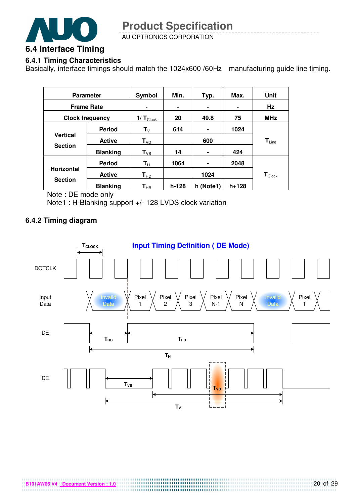

AU OPTRONICS CORPORATION

#### **6.4.1 Timing Characteristics**

Basically, interface timings should match the 1024x600 /60Hz manufacturing guide line timing.

| <b>Parameter</b>  |                        | Symbol               | Min.    | Typ.      | Max.       | Unit                         |  |
|-------------------|------------------------|----------------------|---------|-----------|------------|------------------------------|--|
| <b>Frame Rate</b> |                        | $\blacksquare$       | ٠       | ۰         |            | Hz                           |  |
|                   | <b>Clock frequency</b> | $1/T_{\text{Clock}}$ | 20      | 49.8      | <b>MHz</b> |                              |  |
|                   | <b>Period</b>          | ${\sf T}_{\sf V}$    | 614     | ۰         | 1024       |                              |  |
| <b>Vertical</b>   | <b>Active</b>          | $T_{VD}$             | 600     |           |            | $\mathsf{T}_{\mathsf{Line}}$ |  |
| <b>Section</b>    | <b>Blanking</b>        | $T_{VB}$             | 14      | ۰         | 424        |                              |  |
|                   | <b>Period</b>          | $T_{\rm H}$          | 1064    | ۰         | 2048       |                              |  |
| <b>Horizontal</b> | <b>Active</b>          | $T_{HD}$             |         | 1024      |            | $\mathbf{T}_{\text{Clock}}$  |  |
| <b>Section</b>    | <b>Blanking</b>        | $T_{HB}$             | $h-128$ | h (Note1) | h+128      |                              |  |

Note : DE mode only

Note1 : H-Blanking support +/- 128 LVDS clock variation

#### **6.4.2 Timing diagram**

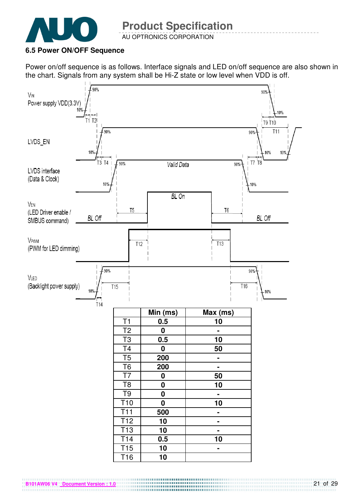

AU OPTRONICS CORPORATION

#### **6.5 Power ON/OFF Sequence**

Power on/off sequence is as follows. Interface signals and LED on/off sequence are also shown in the chart. Signals from any system shall be Hi-Z state or low level when VDD is off.



**B101AW06 V4 Document Version : 1.0**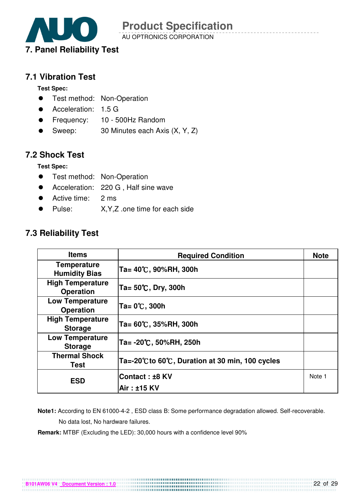

AU OPTRONICS CORPORATION

#### **7.1 Vibration Test**

**Test Spec:** 

- **•** Test method: Non-Operation
- Acceleration: 1.5 G
- Frequency: 10 500Hz Random
- Sweep: 30 Minutes each Axis (X, Y, Z)

#### **7.2 Shock Test**

**Test Spec:** 

- **•** Test method: Non-Operation
- **•** Acceleration: 220 G, Half sine wave
- Active time: 2 ms
- Pulse: X, Y, Z .one time for each side

### **7.3 Reliability Test**

| <b>Items</b>                                | <b>Required Condition</b>                      | <b>Note</b> |
|---------------------------------------------|------------------------------------------------|-------------|
| <b>Temperature</b><br><b>Humidity Bias</b>  | Ta= 40℃, 90%RH, 300h                           |             |
| <b>High Temperature</b><br><b>Operation</b> | Ta= 50℃, Dry, 300h                             |             |
| <b>Low Temperature</b><br><b>Operation</b>  | Ta= 0℃, 300h                                   |             |
| <b>High Temperature</b><br><b>Storage</b>   | Ta= 60℃, 35%RH, 300h                           |             |
| <b>Low Temperature</b><br><b>Storage</b>    | Ta= -20℃, 50%RH, 250h                          |             |
| <b>Thermal Shock</b><br>Test                | Ta=-20℃ to 60℃, Duration at 30 min, 100 cycles |             |
| <b>ESD</b>                                  | Contact : ±8 KV                                | Note 1      |
|                                             | Air: ±15 KV                                    |             |

 **Note1:** According to EN 61000-4-2 , ESD class B: Some performance degradation allowed. Self-recoverable. No data lost, No hardware failures.

**Remark:** MTBF (Excluding the LED): 30,000 hours with a confidence level 90%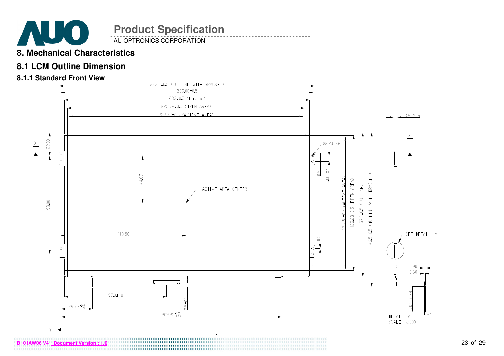

AU OPTRONICS CORPORATION

### **8. Mechanical Characteristics**

### **8.1 LCM Outline Dimension**

#### **8.1.1 Standard Front View**

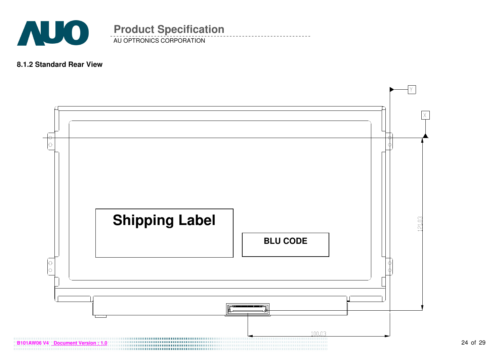

### **8.1.2 Standard Rear View**

AU OPTRONICS CORPORATION

**Product Specification** 

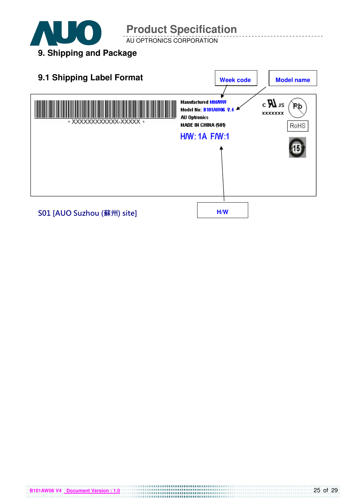

**B101AW06 V4 Document Version : 1.0**

# **Product Specification**

AU OPTRONICS CORPORATION

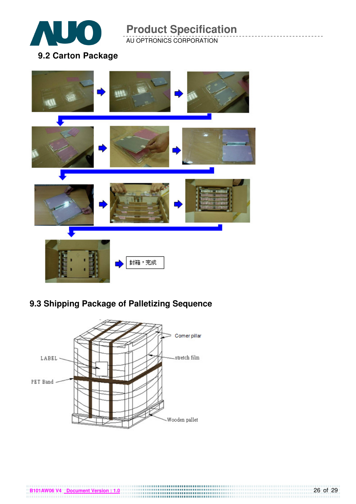

AU OPTRONICS CORPORATION

### **9.2 Carton Package**



# **9.3 Shipping Package of Palletizing Sequence**



**B101AW06 V4** Document Version : 1.0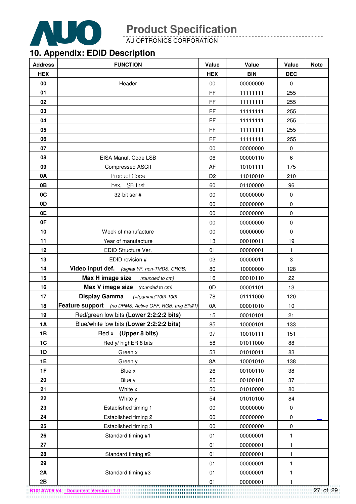

AU OPTRONICS CORPORATION

## **10. Appendix: EDID Description**

| <b>Address</b> | <b>FUNCTION</b>                                       | Value          | Value      | Value       | <b>Note</b> |
|----------------|-------------------------------------------------------|----------------|------------|-------------|-------------|
| <b>HEX</b>     |                                                       | <b>HEX</b>     | <b>BIN</b> | <b>DEC</b>  |             |
| 00             | Header                                                | 00             | 00000000   | $\pmb{0}$   |             |
| 01             |                                                       | FF.            | 11111111   | 255         |             |
| 02             |                                                       | FF             | 11111111   | 255         |             |
| 03             |                                                       | FF             | 11111111   | 255         |             |
| 04             |                                                       | FF             | 11111111   | 255         |             |
| 05             |                                                       | FF             | 11111111   | 255         |             |
| 06             |                                                       | FF             | 11111111   | 255         |             |
| 07             |                                                       | 00             | 00000000   | $\mathbf 0$ |             |
| 08             | EISA Manuf. Code LSB                                  | 06             | 00000110   | 6           |             |
| 09             | Compressed ASCII                                      | AF             | 10101111   | 175         |             |
| 0A             | Product Code                                          | D <sub>2</sub> | 11010010   | 210         |             |
| 0B             | hex, LSB first                                        | 60             | 01100000   | 96          |             |
| 0C             | 32-bit ser #                                          | 00             | 00000000   | 0           |             |
| 0D             |                                                       | 00             | 00000000   | $\pmb{0}$   |             |
| 0E             |                                                       | 00             | 00000000   | $\pmb{0}$   |             |
| 0F             |                                                       | 00             | 00000000   | $\mathbf 0$ |             |
| 10             | Week of manufacture                                   | 00             | 00000000   | 0           |             |
| 11             | Year of manufacture                                   | 13             | 00010011   | 19          |             |
| 12             | EDID Structure Ver.                                   | 01             | 00000001   | 1           |             |
| 13             | EDID revision #                                       | 03             | 00000011   | 3           |             |
| 14             | Video input def. (digital I/P, non-TMDS, CRGB)        | 80             | 10000000   | 128         |             |
| 15             | Max H image size<br>(rounded to cm)                   | 16             | 00010110   | 22          |             |
| 16             | Max V image size (rounded to cm)                      | 0D             | 00001101   | 13          |             |
| 17             | Display Gamma<br>$(=(gamma*100)-100)$                 | 78             | 01111000   | 120         |             |
| 18             | Feature support (no DPMS, Active OFF, RGB, tmg Blk#1) | 0A             | 00001010   | 10          |             |
| 19             | Red/green low bits (Lower 2:2:2:2 bits)               | 15             | 00010101   | 21          |             |
| <b>1A</b>      | Blue/white low bits (Lower 2:2:2:2 bits)              | 85             | 10000101   | 133         |             |
| 1B             | (Upper 8 bits)<br>Red x                               | 97             | 10010111   | 151         |             |
| 1C             | Red y/ highER 8 bits                                  | 58             | 01011000   | 88          |             |
| 1D             | Green x                                               | 53             | 01010011   | 83          |             |
| 1E             | Green y                                               | 8A             | 10001010   | 138         |             |
| 1F             | Blue x                                                | 26             | 00100110   | 38          |             |
| 20             | Blue y                                                | 25             | 00100101   | 37          |             |
| 21             | White x                                               | 50             | 01010000   | 80          |             |
| 22             | White y                                               | 54             | 01010100   | 84          |             |
| 23             | Established timing 1                                  | $00\,$         | 00000000   | $\pmb{0}$   |             |
| 24             | Established timing 2                                  | $00\,$         | 00000000   | $\pmb{0}$   |             |
| 25             | Established timing 3                                  | $00\,$         | 00000000   | $\pmb{0}$   |             |
| 26             | Standard timing #1                                    | 01             | 00000001   | 1           |             |
| 27             |                                                       | 01             | 00000001   | 1           |             |
| 28             | Standard timing #2                                    | 01             | 00000001   | 1           |             |
| 29             |                                                       | 01             | 00000001   | 1           |             |
| 2A             | Standard timing #3                                    | 01             | 00000001   | 1           |             |
| 2B             |                                                       | 01             | 00000001   | 1           |             |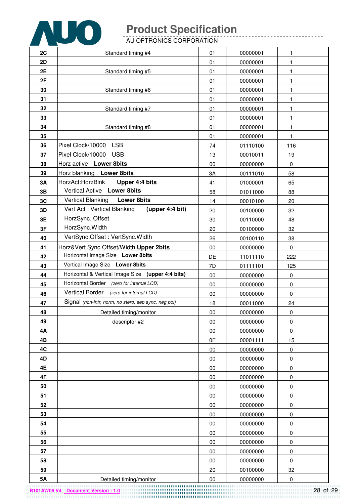

**B101AW06 V4 Document Version : 1.0**

# **Product Specification**

AU OPTRONICS CORPORATION

| 2C        | Standard timing #4                                   | 01 | 00000001 | 1            |  |
|-----------|------------------------------------------------------|----|----------|--------------|--|
| 2D        |                                                      | 01 | 00000001 | $\mathbf{1}$ |  |
| 2E        | Standard timing #5                                   | 01 | 00000001 | 1            |  |
| 2F        |                                                      | 01 | 00000001 | 1            |  |
| 30        | Standard timing #6                                   | 01 | 00000001 | 1            |  |
| 31        |                                                      | 01 | 00000001 | 1            |  |
| 32        | Standard timing #7                                   | 01 | 00000001 | 1            |  |
| 33        |                                                      | 01 | 00000001 | $\mathbf{1}$ |  |
| 34        | Standard timing #8                                   | 01 | 00000001 | $\mathbf{1}$ |  |
| 35        |                                                      | 01 | 00000001 | 1            |  |
| 36        | <b>LSB</b><br>Pixel Clock/10000                      | 74 | 01110100 | 116          |  |
| 37        | <b>USB</b><br>Pixel Clock/10000                      | 13 | 00010011 | 19           |  |
| 38        | Horz active Lower 8bits                              | 00 | 00000000 | $\mathbf 0$  |  |
| 39        | Horz blanking Lower 8bits                            | 3A | 00111010 | 58           |  |
| 3A        | HorzAct:HorzBlnk<br>Upper 4:4 bits                   | 41 | 01000001 | 65           |  |
| 3B        | Vertical Active Lower 8bits                          | 58 | 01011000 | 88           |  |
| 3C        | <b>Vertical Blanking</b><br><b>Lower 8bits</b>       | 14 | 00010100 | 20           |  |
| 3D        | Vert Act: Vertical Blanking<br>(upper 4:4 bit)       | 20 | 00100000 | 32           |  |
| 3E        | HorzSync. Offset                                     | 30 | 00110000 | 48           |  |
| 3F        | HorzSync. Width                                      | 20 | 00100000 | 32           |  |
| 40        | VertSync.Offset: VertSync.Width                      | 26 | 00100110 | 38           |  |
| 41        | Horz‖ Sync Offset/Width Upper 2bits                  | 00 | 00000000 | 0            |  |
| 42        | Horizontal Image Size Lower 8bits                    | DE | 11011110 | 222          |  |
| 43        | Vertical Image Size Lower 8bits                      | 7D | 01111101 | 125          |  |
| 44        | Horizontal & Vertical Image Size (upper 4:4 bits)    | 00 | 00000000 | 0            |  |
| 45        | Horizontal Border (zero for internal LCD)            | 00 | 00000000 | 0            |  |
| 46        | Vertical Border (zero for internal LCD)              | 00 | 00000000 | $\pmb{0}$    |  |
| 47        | Signal (non-intr, norm, no stero, sep sync, neg pol) | 18 | 00011000 | 24           |  |
| 48        | Detailed timing/monitor                              | 00 | 00000000 | $\pmb{0}$    |  |
| 49        | descriptor #2                                        | 00 | 00000000 | 0            |  |
| 4Α        |                                                      | 00 | 00000000 | $\pmb{0}$    |  |
| 4B        |                                                      | 0F | 00001111 | 15           |  |
| 4C        |                                                      | 00 | 00000000 | $\pmb{0}$    |  |
| 4D        |                                                      | 00 | 00000000 | 0            |  |
| 4E        |                                                      | 00 | 00000000 | $\pmb{0}$    |  |
| 4F        |                                                      | 00 | 00000000 | $\pmb{0}$    |  |
| 50        |                                                      | 00 | 00000000 | 0            |  |
| 51        |                                                      | 00 | 00000000 | $\pmb{0}$    |  |
| 52        |                                                      | 00 | 00000000 | $\pmb{0}$    |  |
| 53        |                                                      | 00 | 00000000 | $\pmb{0}$    |  |
| 54        |                                                      | 00 | 00000000 | 0            |  |
| 55        |                                                      | 00 | 00000000 | 0            |  |
| 56        |                                                      | 00 | 00000000 | $\pmb{0}$    |  |
| 57        |                                                      | 00 | 00000000 | $\pmb{0}$    |  |
| 58        |                                                      | 00 | 00000000 | 0            |  |
| 59        |                                                      | 20 | 00100000 | 32           |  |
| <b>5A</b> | Detailed timing/monitor                              | 00 | 00000000 | $\pmb{0}$    |  |